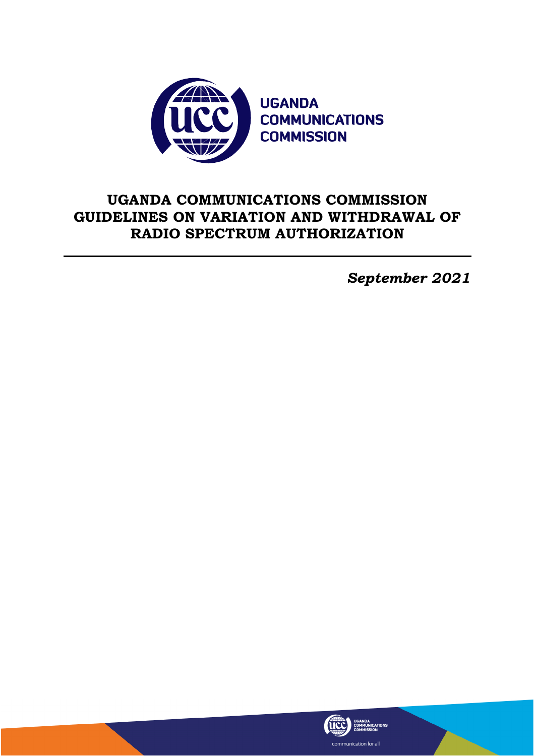

# **UGANDA COMMUNICATIONS COMMISSION GUIDELINES ON VARIATION AND WITHDRAWAL OF RADIO SPECTRUM AUTHORIZATION**

*September 2021*

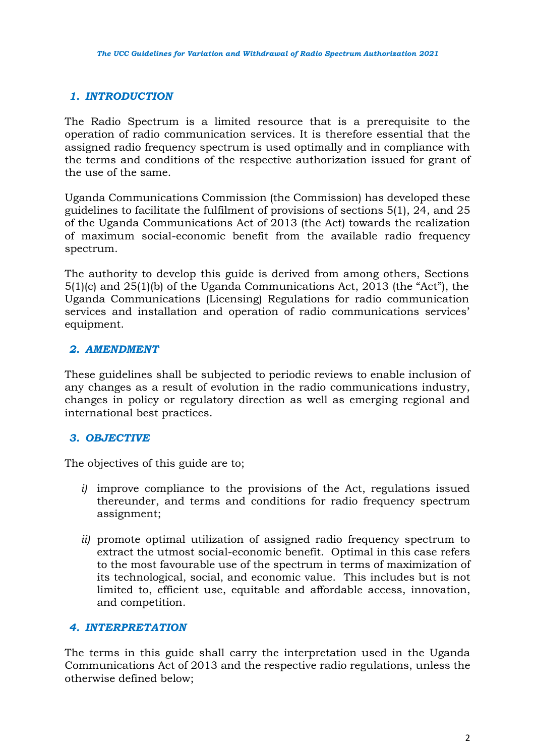# *1. INTRODUCTION*

The Radio Spectrum is a limited resource that is a prerequisite to the operation of radio communication services. It is therefore essential that the assigned radio frequency spectrum is used optimally and in compliance with the terms and conditions of the respective authorization issued for grant of the use of the same.

Uganda Communications Commission (the Commission) has developed these guidelines to facilitate the fulfilment of provisions of sections 5(1), 24, and 25 of the Uganda Communications Act of 2013 (the Act) towards the realization of maximum social-economic benefit from the available radio frequency spectrum.

The authority to develop this guide is derived from among others, Sections 5(1)(c) and 25(1)(b) of the Uganda Communications Act, 2013 (the "Act"), the Uganda Communications (Licensing) Regulations for radio communication services and installation and operation of radio communications services' equipment.

### *2. AMENDMENT*

These guidelines shall be subjected to periodic reviews to enable inclusion of any changes as a result of evolution in the radio communications industry, changes in policy or regulatory direction as well as emerging regional and international best practices.

# *3. OBJECTIVE*

The objectives of this guide are to;

- *i)* improve compliance to the provisions of the Act, regulations issued thereunder, and terms and conditions for radio frequency spectrum assignment;
- *ii)* promote optimal utilization of assigned radio frequency spectrum to extract the utmost social-economic benefit. Optimal in this case refers to the most favourable use of the spectrum in terms of maximization of its technological, social, and economic value. This includes but is not limited to, efficient use, equitable and affordable access, innovation, and competition.

# *4. INTERPRETATION*

The terms in this guide shall carry the interpretation used in the Uganda Communications Act of 2013 and the respective radio regulations, unless the otherwise defined below;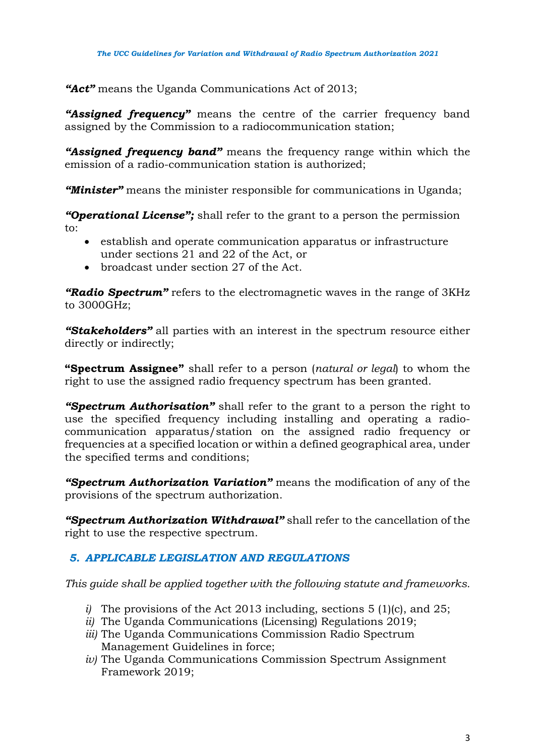*"Act"* means the Uganda Communications Act of 2013;

*"Assigned frequency"* means the centre of the carrier frequency band assigned by the Commission to a radiocommunication station;

*"Assigned frequency band"* means the frequency range within which the emission of a radio-communication station is authorized;

*"Minister"* means the minister responsible for communications in Uganda;

*"Operational License";* shall refer to the grant to a person the permission to:

- establish and operate communication apparatus or infrastructure under sections 21 and 22 of the Act, or
- broadcast under section 27 of the Act.

*"Radio Spectrum"* refers to the electromagnetic waves in the range of 3KHz to 3000GHz;

*"Stakeholders"* all parties with an interest in the spectrum resource either directly or indirectly;

**"Spectrum Assignee"** shall refer to a person (*natural or legal*) to whom the right to use the assigned radio frequency spectrum has been granted.

*"Spectrum Authorisation"* shall refer to the grant to a person the right to use the specified frequency including installing and operating a radiocommunication apparatus/station on the assigned radio frequency or frequencies at a specified location or within a defined geographical area, under the specified terms and conditions;

*"Spectrum Authorization Variation"* means the modification of any of the provisions of the spectrum authorization.

*"Spectrum Authorization Withdrawal"* shall refer to the cancellation of the right to use the respective spectrum.

# *5. APPLICABLE LEGISLATION AND REGULATIONS*

*This guide shall be applied together with the following statute and frameworks.*

- *i)* The provisions of the Act 2013 including, sections 5 (1)(c), and 25;
- *ii)* The Uganda Communications (Licensing) Regulations 2019;
- *iii)* The Uganda Communications Commission Radio Spectrum Management Guidelines in force;
- *iv)* The Uganda Communications Commission Spectrum Assignment Framework 2019;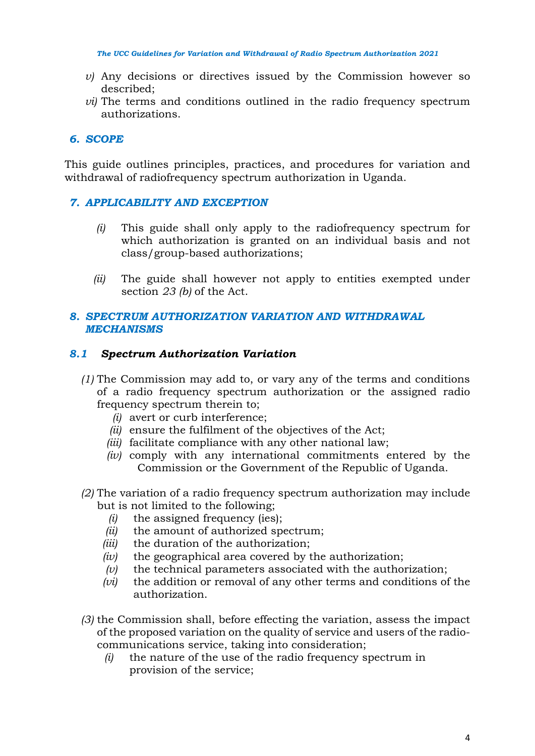- *v)* Any decisions or directives issued by the Commission however so described;
- *vi*) The terms and conditions outlined in the radio frequency spectrum authorizations.

### *6. SCOPE*

This guide outlines principles, practices, and procedures for variation and withdrawal of radiofrequency spectrum authorization in Uganda.

#### *7. APPLICABILITY AND EXCEPTION*

- *(i)* This guide shall only apply to the radiofrequency spectrum for which authorization is granted on an individual basis and not class/group-based authorizations;
- *(ii)* The guide shall however not apply to entities exempted under section *23 (b)* of the Act.

#### *8. SPECTRUM AUTHORIZATION VARIATION AND WITHDRAWAL MECHANISMS*

#### *8.1 Spectrum Authorization Variation*

- *(1)* The Commission may add to, or vary any of the terms and conditions of a radio frequency spectrum authorization or the assigned radio frequency spectrum therein to;
	- *(i)* avert or curb interference;
	- *(ii)* ensure the fulfilment of the objectives of the Act;
	- *(iii)* facilitate compliance with any other national law;
	- *(iv)* comply with any international commitments entered by the Commission or the Government of the Republic of Uganda.
- *(2)* The variation of a radio frequency spectrum authorization may include but is not limited to the following;
	- *(i)* the assigned frequency (ies);
	- *(ii)* the amount of authorized spectrum;
	- *(iii)* the duration of the authorization;
	- *(iv)* the geographical area covered by the authorization;
	- *(v)* the technical parameters associated with the authorization;
	- *(vi)* the addition or removal of any other terms and conditions of the authorization.
- *(3)* the Commission shall, before effecting the variation, assess the impact of the proposed variation on the quality of service and users of the radiocommunications service, taking into consideration;
	- *(i)* the nature of the use of the radio frequency spectrum in provision of the service;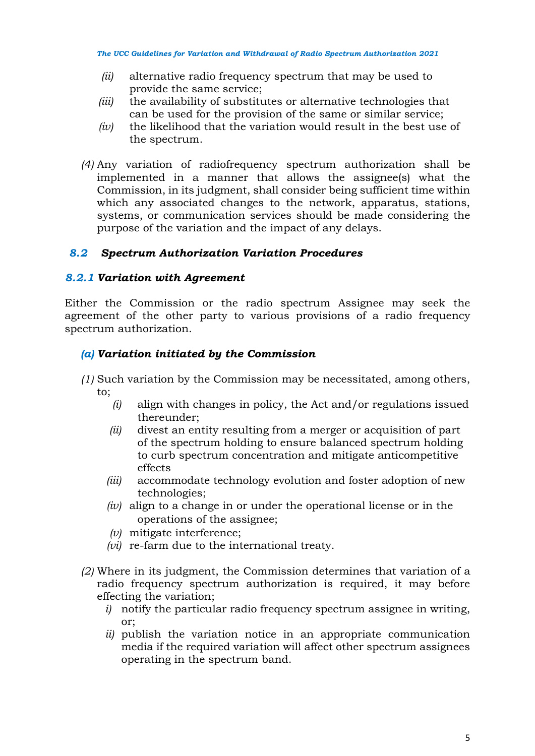- *(ii)* alternative radio frequency spectrum that may be used to provide the same service;
- *(iii)* the availability of substitutes or alternative technologies that can be used for the provision of the same or similar service;
- *(iv)* the likelihood that the variation would result in the best use of the spectrum.
- *(4)* Any variation of radiofrequency spectrum authorization shall be implemented in a manner that allows the assignee(s) what the Commission, in its judgment, shall consider being sufficient time within which any associated changes to the network, apparatus, stations, systems, or communication services should be made considering the purpose of the variation and the impact of any delays.

### *8.2 Spectrum Authorization Variation Procedures*

#### *8.2.1 Variation with Agreement*

Either the Commission or the radio spectrum Assignee may seek the agreement of the other party to various provisions of a radio frequency spectrum authorization.

#### *(a) Variation initiated by the Commission*

- *(1)* Such variation by the Commission may be necessitated, among others, to;
	- *(i)* align with changes in policy, the Act and/or regulations issued thereunder;
	- *(ii)* divest an entity resulting from a merger or acquisition of part of the spectrum holding to ensure balanced spectrum holding to curb spectrum concentration and mitigate anticompetitive effects
	- *(iii)* accommodate technology evolution and foster adoption of new technologies;
	- *(iv)* align to a change in or under the operational license or in the operations of the assignee;
	- *(v)* mitigate interference;
	- *(vi)* re-farm due to the international treaty.
- *(2)* Where in its judgment, the Commission determines that variation of a radio frequency spectrum authorization is required, it may before effecting the variation;
	- *i)* notify the particular radio frequency spectrum assignee in writing, or;
	- *ii)* publish the variation notice in an appropriate communication media if the required variation will affect other spectrum assignees operating in the spectrum band.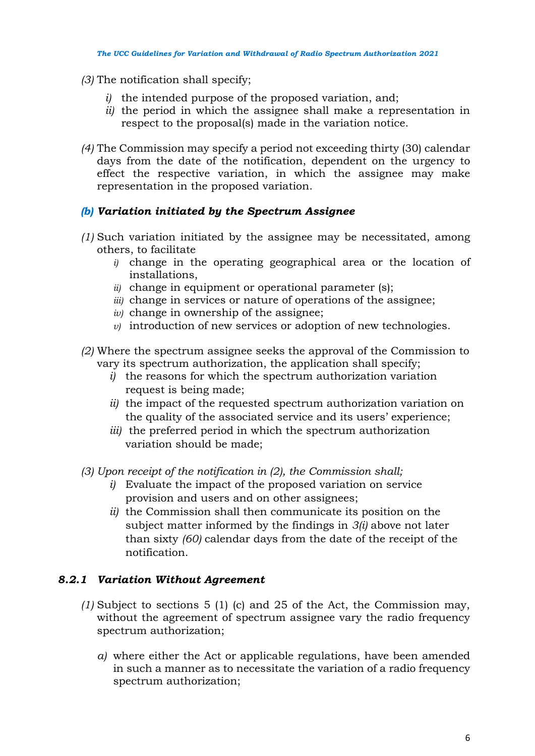- *(3)* The notification shall specify;
	- *i)* the intended purpose of the proposed variation, and;
	- *ii)* the period in which the assignee shall make a representation in respect to the proposal(s) made in the variation notice.
- *(4)* The Commission may specify a period not exceeding thirty (30) calendar days from the date of the notification, dependent on the urgency to effect the respective variation, in which the assignee may make representation in the proposed variation.

# *(b) Variation initiated by the Spectrum Assignee*

- *(1)* Such variation initiated by the assignee may be necessitated, among others, to facilitate
	- *i)* change in the operating geographical area or the location of installations,
	- *ii)* change in equipment or operational parameter (s);
	- *iii)* change in services or nature of operations of the assignee;
	- *iv)* change in ownership of the assignee;
	- *v)* introduction of new services or adoption of new technologies.
- *(2)* Where the spectrum assignee seeks the approval of the Commission to vary its spectrum authorization, the application shall specify;
	- *i)* the reasons for which the spectrum authorization variation request is being made;
	- *ii)* the impact of the requested spectrum authorization variation on the quality of the associated service and its users' experience;
	- *iii)* the preferred period in which the spectrum authorization variation should be made;
- *(3) Upon receipt of the notification in (2), the Commission shall;*
	- *i)* Evaluate the impact of the proposed variation on service provision and users and on other assignees;
	- *ii)* the Commission shall then communicate its position on the subject matter informed by the findings in *3(i)* above not later than sixty *(60)* calendar days from the date of the receipt of the notification.

# *8.2.1 Variation Without Agreement*

- *(1)* Subject to sections 5 (1) (c) and 25 of the Act, the Commission may, without the agreement of spectrum assignee vary the radio frequency spectrum authorization;
	- *a)* where either the Act or applicable regulations, have been amended in such a manner as to necessitate the variation of a radio frequency spectrum authorization;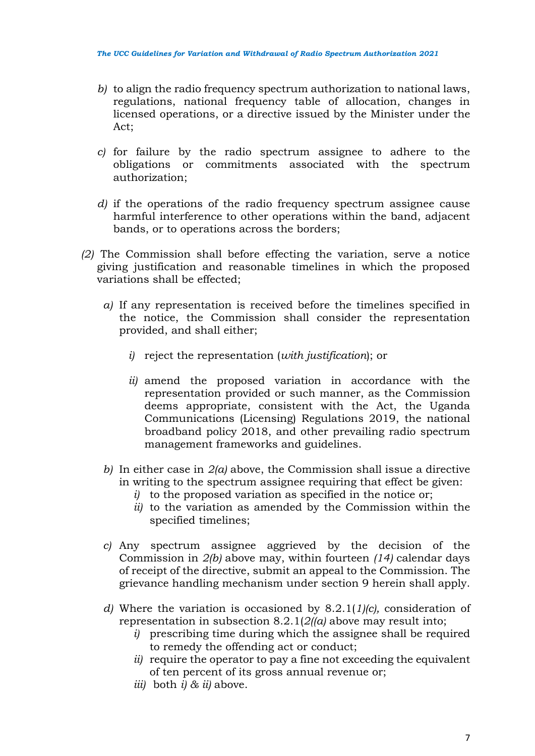- *b)* to align the radio frequency spectrum authorization to national laws, regulations, national frequency table of allocation, changes in licensed operations, or a directive issued by the Minister under the Act;
- *c)* for failure by the radio spectrum assignee to adhere to the obligations or commitments associated with the spectrum authorization;
- *d)* if the operations of the radio frequency spectrum assignee cause harmful interference to other operations within the band, adjacent bands, or to operations across the borders;
- *(2)* The Commission shall before effecting the variation, serve a notice giving justification and reasonable timelines in which the proposed variations shall be effected;
	- *a)* If any representation is received before the timelines specified in the notice, the Commission shall consider the representation provided, and shall either;
		- *i)* reject the representation (*with justification*); or
		- *ii)* amend the proposed variation in accordance with the representation provided or such manner, as the Commission deems appropriate, consistent with the Act, the Uganda Communications (Licensing) Regulations 2019, the national broadband policy 2018, and other prevailing radio spectrum management frameworks and guidelines.
	- *b)* In either case in *2(a)* above, the Commission shall issue a directive in writing to the spectrum assignee requiring that effect be given:
		- *i)* to the proposed variation as specified in the notice or;
		- *ii)* to the variation as amended by the Commission within the specified timelines;
	- *c)* Any spectrum assignee aggrieved by the decision of the Commission in *2(b)* above may, within fourteen *(14)* calendar days of receipt of the directive, submit an appeal to the Commission. The grievance handling mechanism under section 9 herein shall apply.
	- *d)* Where the variation is occasioned by 8.2.1(*1)(c),* consideration of representation in subsection 8.2.1(*2((a)* above may result into;
		- *i)* prescribing time during which the assignee shall be required to remedy the offending act or conduct;
		- *ii)* require the operator to pay a fine not exceeding the equivalent of ten percent of its gross annual revenue or;
		- *iii)* both *i) & ii)* above.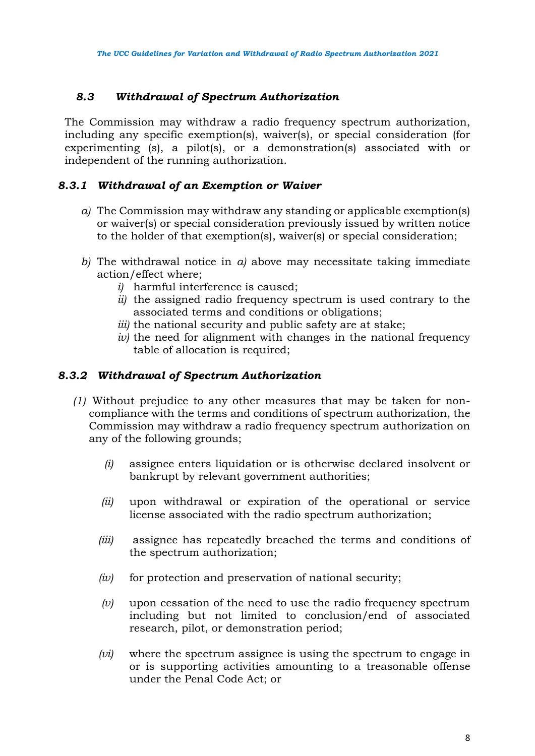# *8.3 Withdrawal of Spectrum Authorization*

The Commission may withdraw a radio frequency spectrum authorization, including any specific exemption(s), waiver(s), or special consideration (for experimenting (s), a pilot(s), or a demonstration(s) associated with or independent of the running authorization.

## *8.3.1 Withdrawal of an Exemption or Waiver*

- *a)* The Commission may withdraw any standing or applicable exemption(s) or waiver(s) or special consideration previously issued by written notice to the holder of that exemption(s), waiver(s) or special consideration;
- *b)* The withdrawal notice in *a)* above may necessitate taking immediate action/effect where;
	- *i)* harmful interference is caused;
	- *ii)* the assigned radio frequency spectrum is used contrary to the associated terms and conditions or obligations;
	- *iii)* the national security and public safety are at stake;
	- *iv)* the need for alignment with changes in the national frequency table of allocation is required;

## *8.3.2 Withdrawal of Spectrum Authorization*

- *(1)* Without prejudice to any other measures that may be taken for noncompliance with the terms and conditions of spectrum authorization, the Commission may withdraw a radio frequency spectrum authorization on any of the following grounds;
	- *(i)* assignee enters liquidation or is otherwise declared insolvent or bankrupt by relevant government authorities;
	- *(ii)* upon withdrawal or expiration of the operational or service license associated with the radio spectrum authorization;
	- *(iii)* assignee has repeatedly breached the terms and conditions of the spectrum authorization;
	- *(iv)* for protection and preservation of national security;
	- *(v)* upon cessation of the need to use the radio frequency spectrum including but not limited to conclusion/end of associated research, pilot, or demonstration period;
	- *(vi)* where the spectrum assignee is using the spectrum to engage in or is supporting activities amounting to a treasonable offense under the Penal Code Act; or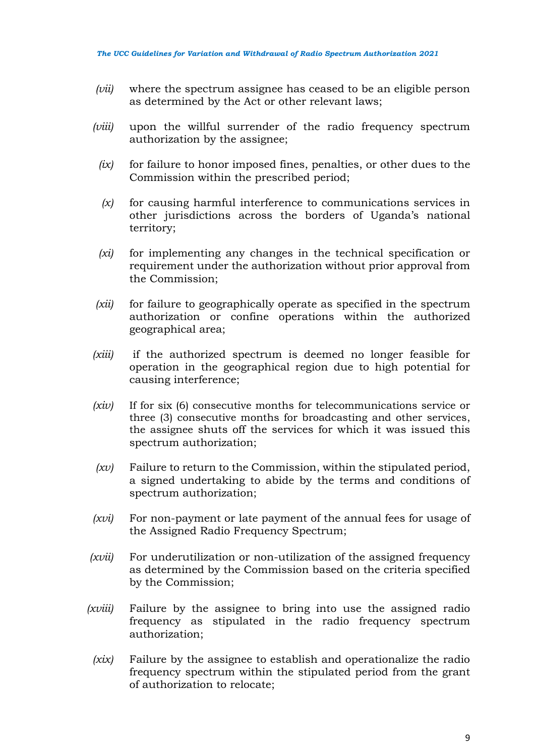- *(vii)* where the spectrum assignee has ceased to be an eligible person as determined by the Act or other relevant laws;
- *(viii)* upon the willful surrender of the radio frequency spectrum authorization by the assignee;
	- *(ix)* for failure to honor imposed fines, penalties, or other dues to the Commission within the prescribed period;
	- *(x)* for causing harmful interference to communications services in other jurisdictions across the borders of Uganda's national territory;
	- *(xi)* for implementing any changes in the technical specification or requirement under the authorization without prior approval from the Commission;
- *(xii)* for failure to geographically operate as specified in the spectrum authorization or confine operations within the authorized geographical area;
- *(xiii)* if the authorized spectrum is deemed no longer feasible for operation in the geographical region due to high potential for causing interference;
- *(xiv)* If for six (6) consecutive months for telecommunications service or three (3) consecutive months for broadcasting and other services, the assignee shuts off the services for which it was issued this spectrum authorization;
- *(xv)* Failure to return to the Commission, within the stipulated period, a signed undertaking to abide by the terms and conditions of spectrum authorization;
- *(xvi)* For non-payment or late payment of the annual fees for usage of the Assigned Radio Frequency Spectrum;
- *(xvii)* For underutilization or non-utilization of the assigned frequency as determined by the Commission based on the criteria specified by the Commission;
- *(xviii)* Failure by the assignee to bring into use the assigned radio frequency as stipulated in the radio frequency spectrum authorization;
- *(xix)* Failure by the assignee to establish and operationalize the radio frequency spectrum within the stipulated period from the grant of authorization to relocate;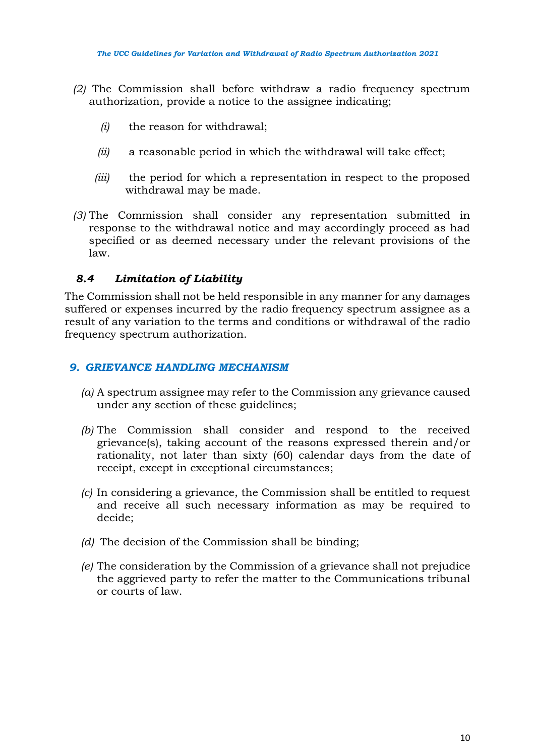- *(2)* The Commission shall before withdraw a radio frequency spectrum authorization, provide a notice to the assignee indicating;
	- *(i)* the reason for withdrawal;
	- *(ii)* a reasonable period in which the withdrawal will take effect;
	- *(iii)* the period for which a representation in respect to the proposed withdrawal may be made.
- *(3)* The Commission shall consider any representation submitted in response to the withdrawal notice and may accordingly proceed as had specified or as deemed necessary under the relevant provisions of the law.

# *8.4 Limitation of Liability*

The Commission shall not be held responsible in any manner for any damages suffered or expenses incurred by the radio frequency spectrum assignee as a result of any variation to the terms and conditions or withdrawal of the radio frequency spectrum authorization.

## *9. GRIEVANCE HANDLING MECHANISM*

- *(a)* A spectrum assignee may refer to the Commission any grievance caused under any section of these guidelines;
- *(b)* The Commission shall consider and respond to the received grievance(s), taking account of the reasons expressed therein and/or rationality, not later than sixty (60) calendar days from the date of receipt, except in exceptional circumstances;
- *(c)* In considering a grievance, the Commission shall be entitled to request and receive all such necessary information as may be required to decide;
- *(d)* The decision of the Commission shall be binding;
- *(e)* The consideration by the Commission of a grievance shall not prejudice the aggrieved party to refer the matter to the Communications tribunal or courts of law.